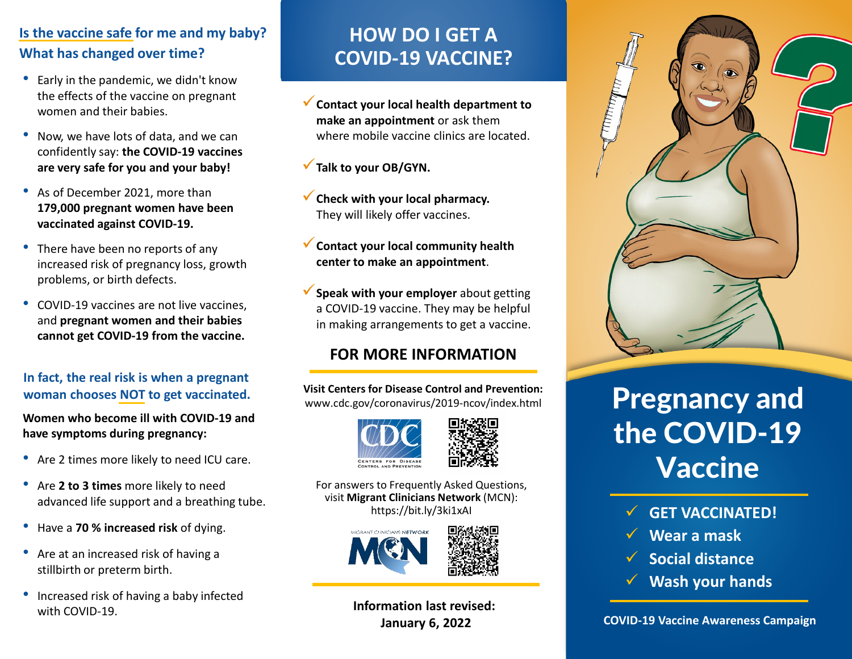#### **Is the vaccine safe for me and my baby? What has changed over time?**

- Early in the pandemic, we didn't know the effects of the vaccine on pregnant women and their babies.
- Now, we have lots of data, and we can confidently say: **the COVID-19 vaccines are very safe for you and your baby!**
- As of December 2021, more than **179,000 pregnant women have been vaccinated against COVID-19.**
- There have been no reports of any increased risk of pregnancy loss, growth problems, or birth defects.
- COVID-19 vaccines are not live vaccines, and **pregnant women and their babies cannot get COVID-19 from the vaccine.**

#### **In fact, the real risk is when a pregnant woman chooses NOT to get vaccinated.**

**Women who become ill with COVID-19 and have symptoms during pregnancy:**

- Are 2 times more likely to need ICU care.
- Are **2 to 3 times** more likely to need advanced life support and a breathing tube.
- Have a **70 % increased risk** of dying.
- Are at an increased risk of having a stillbirth or preterm birth.
- Increased risk of having a baby infected with COVID-19.

# **HOW DO I GET A COVID-19 VACCINE?**

- **Contact your local health department to make an appointment** or ask them where mobile vaccine clinics are located.
- **Talk to your OB/GYN.**
- **Check with your local pharmacy.**  They will likely offer vaccines.
- **Contact your local community health center to make an appointment**.
- **Speak with your employer** about getting a COVID-19 vaccine. They may be helpful in making arrangements to get a vaccine.

### **FOR MORE INFORMATION**

**Visit Centers for Disease Control and Prevention:** www.cdc.gov/coronavirus/2019-ncov/index.html





For answers to Frequently Asked Questions, visit **Migrant Clinicians Network** (MCN): https://bit.ly/3ki1xAI



**Information last revised: January 6, 2022**



# Pregnancy and the COVID-19 **Vaccine**

- **GET VACCINATED!**
- **Wear a mask**
- **Social distance**
- **Wash your hands**